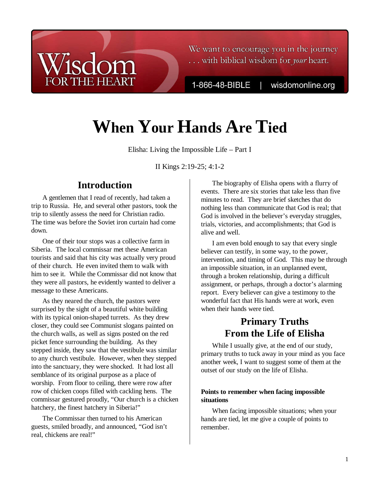We want to encourage you in the journey ... with biblical wisdom for your heart.

1-866-48-BIBLE

wisdomonline.org

# **When Your Hands Are Tied**

Elisha: Living the Impossible Life – Part I

II Kings 2:19-25; 4:1-2

## **Introduction**

**HE HEART** 

A gentlemen that I read of recently, had taken a trip to Russia. He, and several other pastors, took the trip to silently assess the need for Christian radio. The time was before the Soviet iron curtain had come down.

One of their tour stops was a collective farm in Siberia. The local commissar met these American tourists and said that his city was actually very proud of their church. He even invited them to walk with him to see it. While the Commissar did not know that they were all pastors, he evidently wanted to deliver a message to these Americans.

As they neared the church, the pastors were surprised by the sight of a beautiful white building with its typical onion-shaped turrets. As they drew closer, they could see Communist slogans painted on the church walls, as well as signs posted on the red picket fence surrounding the building. As they stepped inside, they saw that the vestibule was similar to any church vestibule. However, when they stepped into the sanctuary, they were shocked. It had lost all semblance of its original purpose as a place of worship. From floor to ceiling, there were row after row of chicken coops filled with cackling hens. The commissar gestured proudly, "Our church is a chicken hatchery, the finest hatchery in Siberia!"

The Commissar then turned to his American guests, smiled broadly, and announced, "God isn't real, chickens are real!"

The biography of Elisha opens with a flurry of events. There are six stories that take less than five minutes to read. They are brief sketches that do nothing less than communicate that God is real; that God is involved in the believer's everyday struggles, trials, victories, and accomplishments; that God is alive and well.

I am even bold enough to say that every single believer can testify, in some way, to the power, intervention, and timing of God. This may be through an impossible situation, in an unplanned event, through a broken relationship, during a difficult assignment, or perhaps, through a doctor's alarming report. Every believer can give a testimony to the wonderful fact that His hands were at work, even when their hands were tied.

## **Primary Truths From the Life of Elisha**

While I usually give, at the end of our study, primary truths to tuck away in your mind as you face another week, I want to suggest some of them at the outset of our study on the life of Elisha.

#### **Points to remember when facing impossible situations**

When facing impossible situations; when your hands are tied, let me give a couple of points to remember.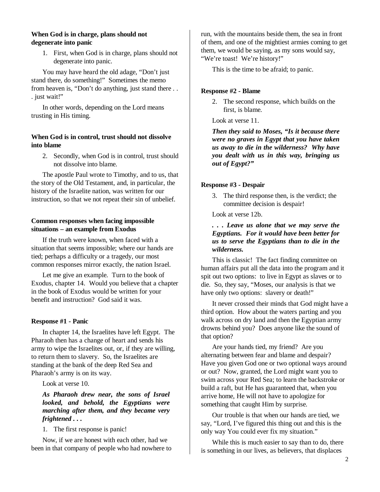#### **When God is in charge, plans should not degenerate into panic**

1. First, when God is in charge, plans should not degenerate into panic.

You may have heard the old adage, "Don't just stand there, do something!" Sometimes the memo from heaven is, "Don't do anything, just stand there . . . just wait!"

In other words, depending on the Lord means trusting in His timing.

#### **When God is in control, trust should not dissolve into blame**

2. Secondly, when God is in control, trust should not dissolve into blame.

The apostle Paul wrote to Timothy, and to us, that the story of the Old Testament, and, in particular, the history of the Israelite nation, was written for our instruction, so that we not repeat their sin of unbelief.

#### **Common responses when facing impossible situations – an example from Exodus**

If the truth were known, when faced with a situation that seems impossible; where our hands are tied; perhaps a difficulty or a tragedy, our most common responses mirror exactly, the nation Israel.

Let me give an example. Turn to the book of Exodus, chapter 14. Would you believe that a chapter in the book of Exodus would be written for your benefit and instruction? God said it was.

#### **Response #1 - Panic**

In chapter 14, the Israelites have left Egypt. The Pharaoh then has a change of heart and sends his army to wipe the Israelites out, or, if they are willing, to return them to slavery. So, the Israelites are standing at the bank of the deep Red Sea and Pharaoh's army is on its way.

Look at verse 10.

*As Pharaoh drew near, the sons of Israel looked, and behold, the Egyptians were marching after them, and they became very frightened . . .* 

1. The first response is panic!

Now, if we are honest with each other, had we been in that company of people who had nowhere to run, with the mountains beside them, the sea in front of them, and one of the mightiest armies coming to get them, we would be saying, as my sons would say, "We're toast! We're history!"

This is the time to be afraid; to panic.

#### **Response #2 - Blame**

2. The second response, which builds on the first, is blame.

Look at verse 11.

*Then they said to Moses, "Is it because there were no graves in Egypt that you have taken us away to die in the wilderness? Why have you dealt with us in this way, bringing us out of Egypt?"*

#### **Response #3 - Despair**

3. The third response then, is the verdict; the committee decision is despair!

Look at verse 12b.

*. . . Leave us alone that we may serve the Egyptians. For it would have been better for us to serve the Egyptians than to die in the wilderness.*

This is classic! The fact finding committee on human affairs put all the data into the program and it spit out two options: to live in Egypt as slaves or to die. So, they say, "Moses, our analysis is that we have only two options: slavery or death!"

It never crossed their minds that God might have a third option. How about the waters parting and you walk across on dry land and then the Egyptian army drowns behind you? Does anyone like the sound of that option?

Are your hands tied, my friend? Are you alternating between fear and blame and despair? Have you given God one or two optional ways around or out? Now, granted, the Lord might want you to swim across your Red Sea; to learn the backstroke or build a raft, but He has guaranteed that, when you arrive home, He will not have to apologize for something that caught Him by surprise.

Our trouble is that when our hands are tied, we say, "Lord, I've figured this thing out and this is the only way You could ever fix my situation."

While this is much easier to say than to do, there is something in our lives, as believers, that displaces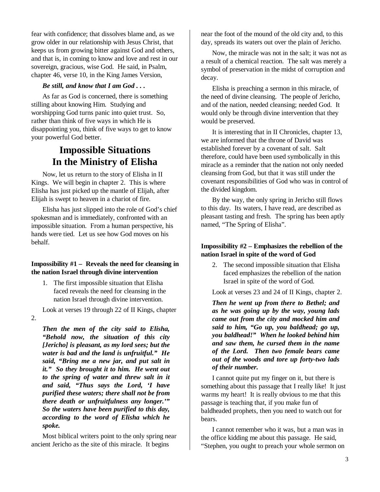fear with confidence; that dissolves blame and, as we grow older in our relationship with Jesus Christ, that keeps us from growing bitter against God and others, and that is, in coming to know and love and rest in our sovereign, gracious, wise God. He said, in Psalm, chapter 46, verse 10, in the King James Version,

#### *Be still, and know that I am God . . .*

As far as God is concerned, there is something stilling about knowing Him. Studying and worshipping God turns panic into quiet trust. So, rather than think of five ways in which He is disappointing you, think of five ways to get to know your powerful God better.

### **Impossible Situations In the Ministry of Elisha**

Now, let us return to the story of Elisha in II Kings. We will begin in chapter 2. This is where Elisha has just picked up the mantle of Elijah, after Elijah is swept to heaven in a chariot of fire.

Elisha has just slipped into the role of God's chief spokesman and is immediately, confronted with an impossible situation. From a human perspective, his hands were tied. Let us see how God moves on his behalf.

#### **Impossibility #1 – Reveals the need for cleansing in the nation Israel through divine intervention**

1. The first impossible situation that Elisha faced reveals the need for cleansing in the nation Israel through divine intervention.

Look at verses 19 through 22 of II Kings, chapter

2.

*Then the men of the city said to Elisha, "Behold now, the situation of this city [Jericho] is pleasant, as my lord sees; but the water is bad and the land is unfruitful." He said, "Bring me a new jar, and put salt in it." So they brought it to him. He went out to the spring of water and threw salt in it and said, "Thus says the Lord, 'I have purified these waters; there shall not be from there death or unfruitfulness any longer.'" So the waters have been purified to this day, according to the word of Elisha which he spoke.*

Most biblical writers point to the only spring near ancient Jericho as the site of this miracle. It begins

near the foot of the mound of the old city and, to this day, spreads its waters out over the plain of Jericho.

Now, the miracle was not in the salt; it was not as a result of a chemical reaction. The salt was merely a symbol of preservation in the midst of corruption and decay.

Elisha is preaching a sermon in this miracle, of the need of divine cleansing. The people of Jericho, and of the nation, needed cleansing; needed God. It would only be through divine intervention that they would be preserved.

It is interesting that in II Chronicles, chapter 13, we are informed that the throne of David was established forever by a covenant of salt. Salt therefore, could have been used symbolically in this miracle as a reminder that the nation not only needed cleansing from God, but that it was still under the covenant responsibilities of God who was in control of the divided kingdom.

By the way, the only spring in Jericho still flows to this day. Its waters, I have read, are described as pleasant tasting and fresh. The spring has been aptly named, "The Spring of Elisha".

#### **Impossibility #2 – Emphasizes the rebellion of the nation Israel in spite of the word of God**

2. The second impossible situation that Elisha faced emphasizes the rebellion of the nation Israel in spite of the word of God.

Look at verses 23 and 24 of II Kings, chapter 2.

*Then he went up from there to Bethel; and as he was going up by the way, young lads came out from the city and mocked him and said to him, "Go up, you baldhead; go up, you baldhead!" When he looked behind him and saw them, he cursed them in the name of the Lord. Then two female bears came out of the woods and tore up forty-two lads of their number.*

I cannot quite put my finger on it, but there is something about this passage that I really like! It just warms my heart! It is really obvious to me that this passage is teaching that, if you make fun of baldheaded prophets, then you need to watch out for bears.

I cannot remember who it was, but a man was in the office kidding me about this passage. He said, "Stephen, you ought to preach your whole sermon on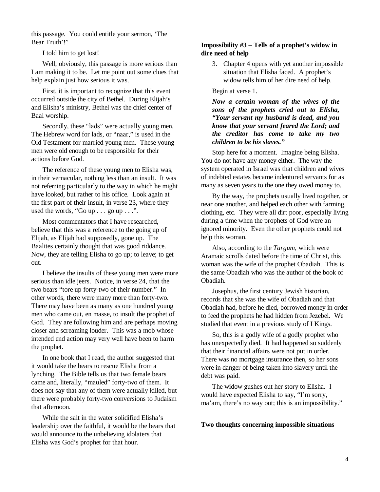this passage. You could entitle your sermon, 'The Bear Truth'!"

I told him to get lost!

Well, obviously, this passage is more serious than I am making it to be. Let me point out some clues that help explain just how serious it was.

First, it is important to recognize that this event occurred outside the city of Bethel. During Elijah's and Elisha's ministry, Bethel was the chief center of Baal worship.

Secondly, these "lads" were actually young men. The Hebrew word for lads, or "naar," is used in the Old Testament for married young men. These young men were old enough to be responsible for their actions before God.

The reference of these young men to Elisha was, in their vernacular, nothing less than an insult. It was not referring particularly to the way in which he might have looked, but rather to his office. Look again at the first part of their insult, in verse 23, where they used the words, "Go up  $\ldots$  go up  $\ldots$ ".

Most commentators that I have researched, believe that this was a reference to the going up of Elijah, as Elijah had supposedly, gone up. The Baalites certainly thought that was good riddance. Now, they are telling Elisha to go up; to leave; to get out.

I believe the insults of these young men were more serious than idle jeers. Notice, in verse 24, that the two bears "tore up forty-two of their number." In other words, there were many more than forty-two. There may have been as many as one hundred young men who came out, en masse, to insult the prophet of God. They are following him and are perhaps moving closer and screaming louder. This was a mob whose intended end action may very well have been to harm the prophet.

In one book that I read, the author suggested that it would take the bears to rescue Elisha from a lynching. The Bible tells us that two female bears came and, literally, "mauled" forty-two of them. It does not say that any of them were actually killed, but there were probably forty-two conversions to Judaism that afternoon.

While the salt in the water solidified Elisha's leadership over the faithful, it would be the bears that would announce to the unbelieving idolaters that Elisha was God's prophet for that hour.

#### **Impossibility #3 – Tells of a prophet's widow in dire need of help**

3. Chapter 4 opens with yet another impossible situation that Elisha faced. A prophet's widow tells him of her dire need of help.

Begin at verse 1.

*Now a certain woman of the wives of the sons of the prophets cried out to Elisha, "Your servant my husband is dead, and you know that your servant feared the Lord; and the creditor has come to take my two children to be his slaves."* 

Stop here for a moment. Imagine being Elisha. You do not have any money either. The way the system operated in Israel was that children and wives of indebted estates became indentured servants for as many as seven years to the one they owed money to.

By the way, the prophets usually lived together, or near one another, and helped each other with farming, clothing, etc. They were all dirt poor, especially living during a time when the prophets of God were an ignored minority. Even the other prophets could not help this woman.

Also, according to the *Targum*, which were Aramaic scrolls dated before the time of Christ, this woman was the wife of the prophet Obadiah. This is the same Obadiah who was the author of the book of Obadiah.

Josephus, the first century Jewish historian, records that she was the wife of Obadiah and that Obadiah had, before he died, borrowed money in order to feed the prophets he had hidden from Jezebel. We studied that event in a previous study of I Kings.

So, this is a godly wife of a godly prophet who has unexpectedly died. It had happened so suddenly that their financial affairs were not put in order. There was no mortgage insurance then, so her sons were in danger of being taken into slavery until the debt was paid.

The widow gushes out her story to Elisha. I would have expected Elisha to say, "I'm sorry, ma'am, there's no way out; this is an impossibility."

#### **Two thoughts concerning impossible situations**